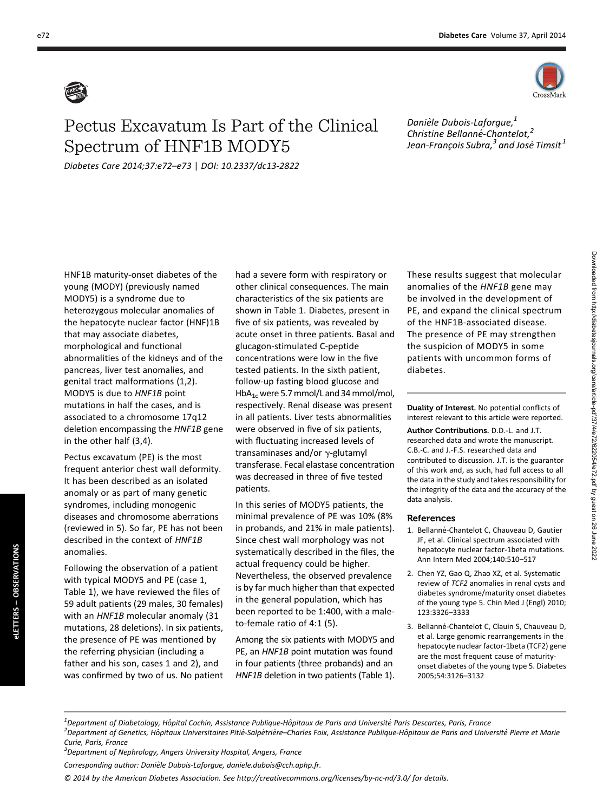

## Pectus Excavatum Is Part of the Clinical Spectrum of HNF1B MODY5

Diabetes Care 2014;37:e72–e73 | DOI: 10.2337/dc13-2822

Danièle Dubois-Laforgue,<sup>1</sup> Christine Bellanné-Chantelot,<sup>2</sup> Jean-François Subra, $^{\text{3}}$  and José Timsit  $^{\text{1}}$ 

HNF1B maturity-onset diabetes of the young (MODY) (previously named MODY5) is a syndrome due to heterozygous molecular anomalies of the hepatocyte nuclear factor (HNF)1B that may associate diabetes, morphological and functional abnormalities of the kidneys and of the pancreas, liver test anomalies, and genital tract malformations (1,2). MODY5 is due to HNF1B point mutations in half the cases, and is associated to a chromosome 17q12 deletion encompassing the HNF1B gene in the other half (3,4).

Pectus excavatum (PE) is the most frequent anterior chest wall deformity. It has been described as an isolated anomaly or as part of many genetic syndromes, including monogenic diseases and chromosome aberrations (reviewed in 5). So far, PE has not been described in the context of HNF1B anomalies.

Following the observation of a patient with typical MODY5 and PE (case 1, Table 1), we have reviewed the files of 59 adult patients (29 males, 30 females) with an HNF1B molecular anomaly (31 mutations, 28 deletions). In six patients, the presence of PE was mentioned by the referring physician (including a father and his son, cases 1 and 2), and was confirmed by two of us. No patient

eLETTERS – OBSERVATIONS

eLETTERS -

**OBSERVATIONS** 

had a severe form with respiratory or other clinical consequences. The main characteristics of the six patients are shown in Table 1. Diabetes, present in five of six patients, was revealed by acute onset in three patients. Basal and glucagon-stimulated C-peptide concentrations were low in the five tested patients. In the sixth patient, follow-up fasting blood glucose and HbA<sub>1c</sub> were 5.7 mmol/L and 34 mmol/mol, respectively. Renal disease was present in all patients. Liver tests abnormalities were observed in five of six patients, with fluctuating increased levels of transaminases and/or  $\gamma$ -glutamyl transferase. Fecal elastase concentration was decreased in three of five tested patients.

In this series of MODY5 patients, the minimal prevalence of PE was 10% (8% in probands, and 21% in male patients). Since chest wall morphology was not systematically described in the files, the actual frequency could be higher. Nevertheless, the observed prevalence is by far much higher than that expected in the general population, which has been reported to be 1:400, with a maleto-female ratio of 4:1 (5).

Among the six patients with MODY5 and PE, an HNF1B point mutation was found in four patients (three probands) and an HNF1B deletion in two patients (Table 1). These results suggest that molecular anomalies of the HNF1B gene may be involved in the development of PE, and expand the clinical spectrum of the HNF1B-associated disease. The presence of PE may strengthen the suspicion of MODY5 in some patients with uncommon forms of diabetes.

Duality of Interest. No potential conflicts of interest relevant to this article were reported.

Author Contributions. D.D.-L. and J.T. researched data and wrote the manuscript. C.B.-C. and J.-F.S. researched data and contributed to discussion. J.T. is the guarantor of this work and, as such, had full access to all the data in the study and takes responsibility for the integrity of the data and the accuracy of the data analysis.

## References

- 1. Bellanné-Chantelot C, Chauveau D, Gautier JF, et al. Clinical spectrum associated with hepatocyte nuclear factor-1beta mutations. Ann Intern Med 2004;140:510–517
- 2. Chen YZ, Gao Q, Zhao XZ, et al. Systematic review of TCF2 anomalies in renal cysts and diabetes syndrome/maturity onset diabetes of the young type 5. Chin Med J (Engl) 2010; 123:3326–3333
- 3. Bellanné-Chantelot C, Clauin S, Chauveau D, et al. Large genomic rearrangements in the hepatocyte nuclear factor-1beta (TCF2) gene are the most frequent cause of maturityonset diabetes of the young type 5. Diabetes 2005;54:3126–3132

<sup>1</sup> Department of Diabetology, Hôpital Cochin, Assistance Publique-Hôpitaux de Paris and Université Paris Descartes, Paris, France<br><sup>2</sup> Department of Constice, Hôpitaux Universitaires Pitié Salpétrière, Charles Feix, Assistan <sup>2</sup> Department of Genetics, Hôpitaux Universitaires Pitié-Salpétrière–Charles Foix, Assistance Publique-Hôpitaux de Paris and Université Pierre et Marie Curie, Paris, France

<sup>&</sup>lt;sup>3</sup>Department of Nephrology, Angers University Hospital, Angers, France

Corresponding author: Danièle Dubois-Laforgue, [daniele.dubois@cch.aphp.fr.](mailto:daniele.dubois@cch.aphp.fr)

<sup>© 2014</sup> by the American Diabetes Association. See<http://creativecommons.org/licenses/by-nc-nd/3.0/> for details.